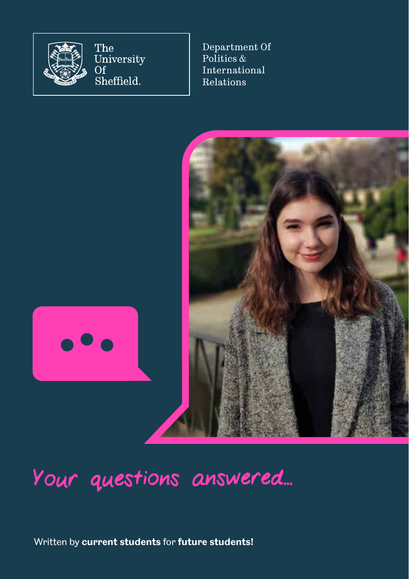

The University Of Sheffield.

Department Of Politics & International Relations



# Your questions answered...

Written by **current students** for **future students!**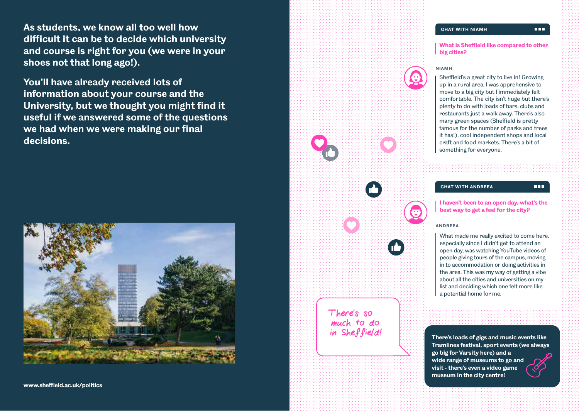**As students, we know all too well how difficult it can be to decide which university and course is right for you (we were in your shoes not that long ago!).** 

**You'll have already received lots of information about your course and the University, but we thought you might find it useful if we answered some of the questions we had when we were making our final decisions.** 



## **CHAT WITH NIAMH**

**What is Sheffield like compared to other big cities?**



Sheffield's a great city to live in! Growing up in a rural area, I was apprehensive to move to a big city but I immediately felt comfortable. The city isn't huge but there's plenty to do with loads of bars, clubs and restaurants just a walk away. There's also many green spaces (Sheffield is pretty famous for the number of parks and trees it has!), cool independent shops and local craft and food markets. There's a bit of something for everyone.

**CHAT WITH ANDREEA**

#### mm.

**I haven't been to an open day, what's the best way to get a feel for the city?**

#### **ANDREEA**

What made me really excited to come here, especially since I didn't get to attend an open day, was watching YouTube videos of people giving tours of the campus, moving in to accommodation or doing activities in the area. This was my way of getting a vibe about all the cities and universities on my list and deciding which one felt more like a potential home for me.

There's so much to do<br>in Sheffield!

**There's loads of gigs and music events like Tramlines festival, sport events (we always go big for Varsity here) and a wide range of museums to go and visit - there's even a video game museum in the city centre!**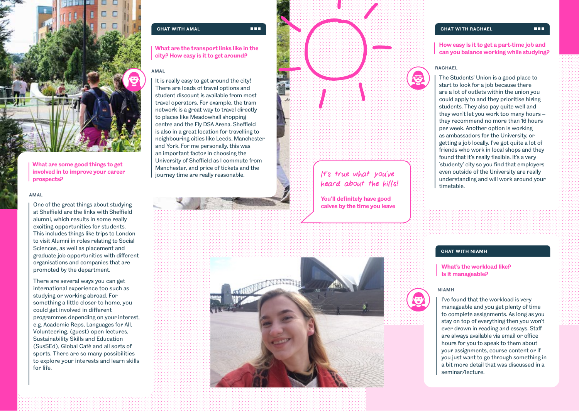

**What are some good things to get involved in to improve your career prospects?** 

#### **AMAL**

One of the great things about studying at Sheffield are the links with Sheffield alumni, which results in some really exciting opportunities for students. This includes things like trips to London to visit Alumni in roles relating to Social Sciences, as well as placement and graduate job opportunities with different organisations and companies that are promoted by the department.

There are several ways you can get international experience too such as studying or working abroad . For something a little closer to home, you could get involved in different programmes depending on your interest, e.g. Academic Reps, Languages for All, Volunteering, (guest) open lectures, Sustainability Skills and Education (SusSEd), Global Café and all sorts of sports. There are so many possibilities to explore your interests and learn skills for life.

#### **CHAT WITH AMAL**

**What are the transport links like in the city? How easy is it to get around?**

**TER** 

## **AMAL**

It is really easy to get around the city! There are loads of travel options and student discount is available from most travel operators. For example, the tram network is a great way to travel directly to places like Meadowhall shopping centre and the Fly DSA Arena. Sheffield is also in a great location for travelling to neighbouring cities like Leeds, Manchester and York. For me personally, this was an important factor in choosing the University of Sheffield as I commute from Manchester, and price of tickets and the journey time are really reasonable.

It's true what you've heard about the hills! **You'll definitely have good** 

**calves by the time you leave**





**How easy is it to get a part-time job and can you balance working while studying?**

### **RACHAEL**

The Students' Union is a good place to start to look for a job because there are a lot of outlets within the union you could apply to and they prioritise hiring students. They also pay quite well and they won't let you work too many hours – they recommend no more than 16 hours per week. Another option is working as ambassadors for the University, or getting a job locally. I've got quite a lot of friends who work in local shops and they found that it's really flexible. It's a very 'studenty' city so you find that employers even outside of the University are really understanding and will work around your timetable.

## **CHAT WITH NIAMH**

**What's the workload like? Is it manageable?**

#### **NIAMH**



#### mana.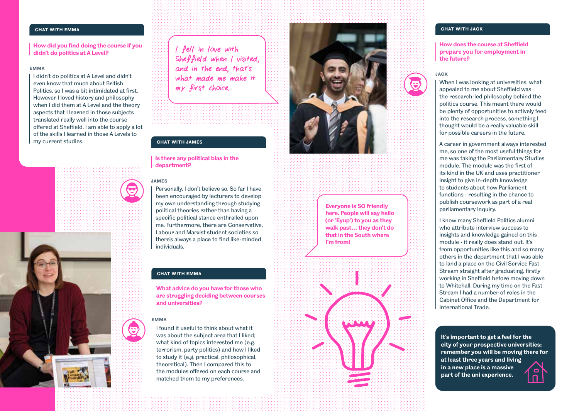# **CHAT WITH EMMA**

**How did you find doing the course if you didn't do politics at A Level?**

## **EMMA**

I didn't do politics at A Level and didn't even know that much about British Politics, so I was a bit intimidated at first. However I loved history and philosophy when I did them at A Level and the theory aspects that I learned in those subjects translated really well into the course offered at Sheffield. I am able to apply a lot of the skills I learned in those A Levels to my current studies.



I fell in love with Sheffield when I visited, and in the end, that's what made me make it my first choice.

#### **CHAT WITH JAMES**

## **Is there any political bias in the department?**

## **JAMES**

Personally, I don't believe so. So far I have been encouraged by lecturers to develop my own understanding through studying political theories rather than having a specific political stance enthralled upon me. Furthermore, there are Conservative, Labour and Marxist student societies so there's always a place to find like-minded individuals.

## **CHAT WITH EMMA**

**What advice do you have for those who are struggling deciding between courses and universities?**

## **EMMA**

I found it useful to think about what it was about the subject area that I liked; what kind of topics interested me (e.g. terrorism, party politics) and how I liked to study it (e.g. practical, philosophical, theoretical). Then I compared this to the modules offered on each course and matched them to my preferences.



## **Everyone is SO friendly here. People will say hello (or 'Eyup') to you as they walk past… they don't do that in the South where I'm from!**



## **CHAT WITH JACK**

## **How does the course at Sheffield prepare you for employment in the future?**



When I was looking at universities, what appealed to me about Sheffield was the research-led philosophy behind the politics course. This meant there would be plenty of opportunities to actively feed into the research process, something I thought would be a really valuable skill for possible careers in the future.

A career in government always interested me, so one of the most useful things for me was taking the Parliamentary Studies module. The module was the first of its kind in the UK and uses practitioner insight to give in-depth knowledge to students about how Parliament functions - resulting in the chance to publish coursework as part of a real parliamentary inquiry.

I know many Sheffield Politics alumni who attribute interview success to insights and knowledge gained on this module - it really does stand out. It's from opportunities like this and so many others in the department that I was able to land a place on the Civil Service Fast Stream straight after graduating, firstly working in Sheffield before moving down to Whitehall. During my time on the Fast Stream I had a number of roles in the Cabinet Office and the Department for International Trade.

**It's important to get a feel for the city of your prospective universities; remember you will be moving there for at least three years and living in a new place is a massive**   $\mathbf{C}$ **part of the uni experience.**